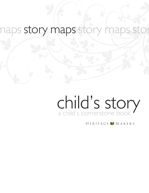### naps story maps story maps st stor

# a child's cornerstone book child's story

HERITAGE MAKERS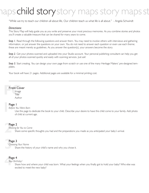## ps child story story maps story maps st

"While we try to teach our children all about life, Our children teach us what life is all about." - Angela Schwindt

#### *Directions:*

This Story Map will help guide you as you write and preserve your most precious memories. As you combine stories and photos you'll create a valuable treasure that can be shared for many years to come.

**Step I.** Read through the following questions and answer them. You may need to involve others with interviews and gathering information, or just answer the questions on your own. You do not need to answer each question or even use each theme; these are meant merely as guidelines. As you answer the question(s), your answers become the story.

*Step 2.* Get your photos scanned and uploaded into your Studio account. Your personal publishing consultant can help you get all of your photos scanned quickly and easily with scanning services. Just ask!

*Step 3.* Start creating. You can design your own page from scratch or use one of the many Heritage Makers' pre-designed templates.

Your book will have 21 pages. Additional pages are available for a minimal printing cost.

#### Front Cover

**Front Cover**<br>
Image<br>
Title Image Title Author

### **1**<br>1<br>**1**<br>1 Page 1

*Before You Were Born*

Use this page to dedicate the book to your child. Describe your desire to have this child come to your family. Add photo of child at current age.

### **2** Page 2

*Waiting for You to Come*

 Share some specific thoughts you had and the preparations you made as you anticipated your baby's arrival.

### **Pag**<br>Cho Page 3

*Choosing Your Name* 

Share the history of your child's name and why you chose it.

### Pag<br>You Page 4

*Your Birthday!* 

 Share how and where your child was born. What your feelings when you finally got to hold your baby? Who else was excited to meet the new baby?